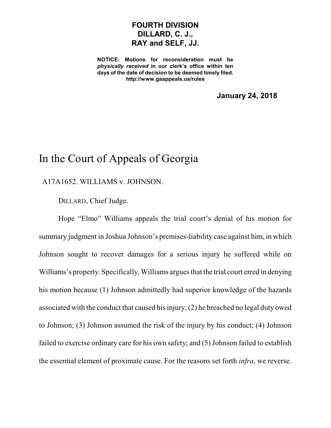## **FOURTH DIVISION DILLARD, C. J., RAY and SELF, JJ.**

**NOTICE: Motions for reconsideration must be** *physically received* **in our clerk's office within ten days of the date of decision to be deemed timely filed. http://www.gaappeals.us/rules**

**January 24, 2018**

## In the Court of Appeals of Georgia

A17A1652. WILLIAMS v. JOHNSON.

DILLARD, Chief Judge.

Hope "Elmo" Williams appeals the trial court's denial of his motion for summary judgment in Joshua Johnson's premises-liability case against him, in which Johnson sought to recover damages for a serious injury he suffered while on Williams's property. Specifically, Williams argues that the trial court erred in denying his motion because (1) Johnson admittedly had superior knowledge of the hazards associated with the conduct that caused hisinjury;(2) he breached no legal duty owed to Johnson; (3) Johnson assumed the risk of the injury by his conduct; (4) Johnson failed to exercise ordinary care for his own safety; and (5) Johnson failed to establish the essential element of proximate cause. For the reasons set forth *infra*, we reverse.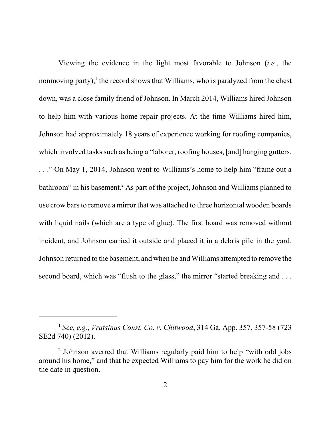Viewing the evidence in the light most favorable to Johnson (*i.e.*, the nonmoving party), $^1$  the record shows that Williams, who is paralyzed from the chest down, was a close family friend of Johnson. In March 2014, Williams hired Johnson to help him with various home-repair projects. At the time Williams hired him, Johnson had approximately 18 years of experience working for roofing companies, which involved tasks such as being a "laborer, roofing houses, [and] hanging gutters. . . ." On May 1, 2014, Johnson went to Williams's home to help him "frame out a bathroom" in his basement. <sup>2</sup> As part of the project, Johnson and Williams planned to use crow barsto remove a mirror that was attached to three horizontal wooden boards with liquid nails (which are a type of glue). The first board was removed without incident, and Johnson carried it outside and placed it in a debris pile in the yard. Johnson returned to the basement, and when he and Williams attempted to remove the second board, which was "flush to the glass," the mirror "started breaking and ...

<sup>1</sup> *See, e.g.*, *Vratsinas Const. Co. v. Chitwood*, 314 Ga. App. 357, 357-58 (723 SE2d 740) (2012).

<sup>&</sup>lt;sup>2</sup> Johnson averred that Williams regularly paid him to help "with odd jobs around his home," and that he expected Williams to pay him for the work he did on the date in question.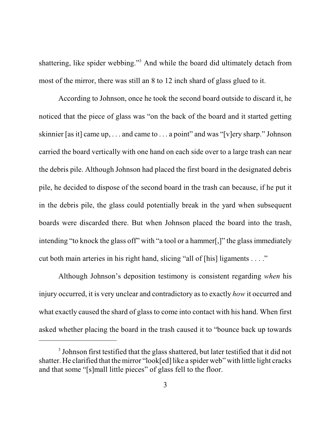shattering, like spider webbing."<sup>3</sup> And while the board did ultimately detach from most of the mirror, there was still an 8 to 12 inch shard of glass glued to it.

According to Johnson, once he took the second board outside to discard it, he noticed that the piece of glass was "on the back of the board and it started getting skinnier [as it] came up, . . . and came to . . . a point" and was "[v]ery sharp." Johnson carried the board vertically with one hand on each side over to a large trash can near the debris pile. Although Johnson had placed the first board in the designated debris pile, he decided to dispose of the second board in the trash can because, if he put it in the debris pile, the glass could potentially break in the yard when subsequent boards were discarded there. But when Johnson placed the board into the trash, intending "to knock the glass off" with "a tool or a hammer[,]" the glass immediately cut both main arteries in his right hand, slicing "all of [his] ligaments . . . ."

Although Johnson's deposition testimony is consistent regarding *when* his injury occurred, it is very unclear and contradictory as to exactly *how* it occurred and what exactly caused the shard of glass to come into contact with his hand. When first asked whether placing the board in the trash caused it to "bounce back up towards

 $3$  Johnson first testified that the glass shattered, but later testified that it did not shatter. He clarified that the mirror "look[ed] like a spider web" with little light cracks and that some "[s]mall little pieces" of glass fell to the floor.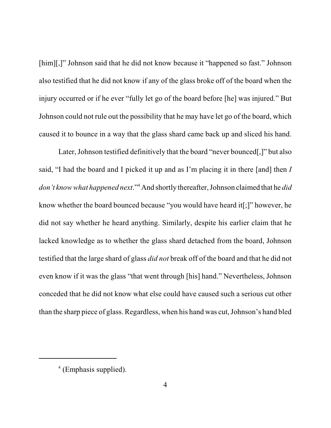[him][,]" Johnson said that he did not know because it "happened so fast." Johnson also testified that he did not know if any of the glass broke off of the board when the injury occurred or if he ever "fully let go of the board before [he] was injured." But Johnson could not rule out the possibility that he may have let go of the board, which caused it to bounce in a way that the glass shard came back up and sliced his hand.

Later, Johnson testified definitively that the board "never bounced[,]" but also said, "I had the board and I picked it up and as I'm placing it in there [and] then *I don't know what happened next*."<sup>4</sup> And shortly thereafter, Johnson claimed that he *did* know whether the board bounced because "you would have heard it[;]" however, he did not say whether he heard anything. Similarly, despite his earlier claim that he lacked knowledge as to whether the glass shard detached from the board, Johnson testified that the large shard of glass *did not* break off of the board and that he did not even know if it was the glass "that went through [his] hand." Nevertheless, Johnson conceded that he did not know what else could have caused such a serious cut other than the sharp piece of glass. Regardless, when his hand was cut, Johnson's hand bled

<sup>4</sup> (Emphasis supplied).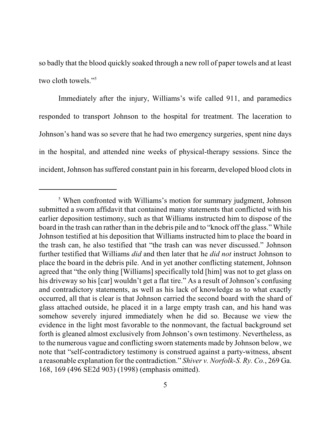so badly that the blood quickly soaked through a new roll of paper towels and at least two cloth towels."<sup>5</sup>

Immediately after the injury, Williams's wife called 911, and paramedics responded to transport Johnson to the hospital for treatment. The laceration to Johnson's hand was so severe that he had two emergency surgeries, spent nine days in the hospital, and attended nine weeks of physical-therapy sessions. Since the incident, Johnson has suffered constant pain in his forearm, developed blood clots in

<sup>&</sup>lt;sup>5</sup> When confronted with Williams's motion for summary judgment, Johnson submitted a sworn affidavit that contained many statements that conflicted with his earlier deposition testimony, such as that Williams instructed him to dispose of the board in the trash can rather than in the debris pile and to "knock off the glass." While Johnson testified at his deposition that Williams instructed him to place the board in the trash can, he also testified that "the trash can was never discussed." Johnson further testified that Williams *did* and then later that he *did not* instruct Johnson to place the board in the debris pile. And in yet another conflicting statement, Johnson agreed that "the only thing [Williams] specifically told [him] was not to get glass on his driveway so his [car] wouldn't get a flat tire." As a result of Johnson's confusing and contradictory statements, as well as his lack of knowledge as to what exactly occurred, all that is clear is that Johnson carried the second board with the shard of glass attached outside, he placed it in a large empty trash can, and his hand was somehow severely injured immediately when he did so. Because we view the evidence in the light most favorable to the nonmovant, the factual background set forth is gleaned almost exclusively from Johnson's own testimony. Nevertheless, as to the numerous vague and conflicting sworn statements made by Johnson below, we note that "self-contradictory testimony is construed against a party-witness, absent a reasonable explanation for the contradiction." *Shiver v. Norfolk-S. Ry. Co.*, 269 Ga. 168, 169 (496 SE2d 903) (1998) (emphasis omitted).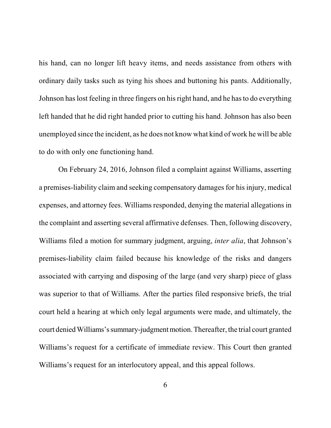his hand, can no longer lift heavy items, and needs assistance from others with ordinary daily tasks such as tying his shoes and buttoning his pants. Additionally, Johnson has lost feeling in three fingers on his right hand, and he has to do everything left handed that he did right handed prior to cutting his hand. Johnson has also been unemployed since the incident, as he does not know what kind of work he will be able to do with only one functioning hand.

On February 24, 2016, Johnson filed a complaint against Williams, asserting a premises-liability claim and seeking compensatory damages for his injury, medical expenses, and attorney fees. Williams responded, denying the material allegations in the complaint and asserting several affirmative defenses. Then, following discovery, Williams filed a motion for summary judgment, arguing, *inter alia*, that Johnson's premises-liability claim failed because his knowledge of the risks and dangers associated with carrying and disposing of the large (and very sharp) piece of glass was superior to that of Williams. After the parties filed responsive briefs, the trial court held a hearing at which only legal arguments were made, and ultimately, the court denied Williams's summary-judgment motion.Thereafter, the trial court granted Williams's request for a certificate of immediate review. This Court then granted Williams's request for an interlocutory appeal, and this appeal follows.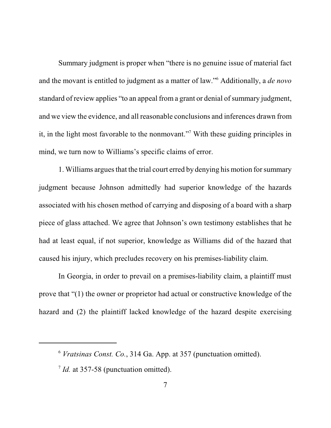Summary judgment is proper when "there is no genuine issue of material fact and the movant is entitled to judgment as a matter of law."<sup>6</sup> Additionally, a *de novo* standard of review applies "to an appeal from a grant or denial of summary judgment, and we view the evidence, and all reasonable conclusions and inferences drawn from it, in the light most favorable to the nonmovant."<sup>7</sup> With these guiding principles in mind, we turn now to Williams's specific claims of error.

1. Williams argues that the trial court erred by denying his motion for summary judgment because Johnson admittedly had superior knowledge of the hazards associated with his chosen method of carrying and disposing of a board with a sharp piece of glass attached. We agree that Johnson's own testimony establishes that he had at least equal, if not superior, knowledge as Williams did of the hazard that caused his injury, which precludes recovery on his premises-liability claim.

In Georgia, in order to prevail on a premises-liability claim, a plaintiff must prove that "(1) the owner or proprietor had actual or constructive knowledge of the hazard and (2) the plaintiff lacked knowledge of the hazard despite exercising

<sup>6</sup> *Vratsinas Const. Co.*, 314 Ga. App. at 357 (punctuation omitted).

<sup>&</sup>lt;sup>7</sup> *Id.* at 357-58 (punctuation omitted).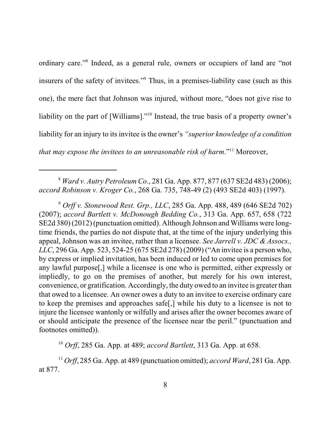ordinary care."<sup>8</sup> Indeed, as a general rule, owners or occupiers of land are "not insurers of the safety of invitees."<sup>9</sup> Thus, in a premises-liability case (such as this one), the mere fact that Johnson was injured, without more, "does not give rise to liability on the part of [Williams]."<sup>10</sup> Instead, the true basis of a property owner's liability for an injury to its invitee is the owner's *"superior knowledge of a condition that may expose the invitees to an unreasonable risk of harm*."<sup>11</sup> Moreover,

<sup>8</sup> *Ward v. Autry Petroleum Co*., 281 Ga. App. 877, 877 (637 SE2d 483) (2006); *accord Robinson v. Kroger Co.*, 268 Ga. 735, 748-49 (2) (493 SE2d 403) (1997).

<sup>9</sup> *Orff v. Stonewood Rest. Grp., LLC*, 285 Ga. App. 488, 489 (646 SE2d 702) (2007); *accord Bartlett v. McDonough Bedding Co.*, 313 Ga. App. 657, 658 (722 SE2d 380) (2012) (punctuation omitted). Although Johnson and Williams were longtime friends, the parties do not dispute that, at the time of the injury underlying this appeal, Johnson was an invitee, rather than a licensee. *See Jarrell v. JDC & Assocs., LLC*, 296 Ga. App. 523, 524-25 (675 SE2d 278) (2009) ("An invitee is a person who, by express or implied invitation, has been induced or led to come upon premises for any lawful purpose[,] while a licensee is one who is permitted, either expressly or impliedly, to go on the premises of another, but merely for his own interest, convenience, or gratification. Accordingly, the duty owed to an invitee is greater than that owed to a licensee. An owner owes a duty to an invitee to exercise ordinary care to keep the premises and approaches safe[,] while his duty to a licensee is not to injure the licensee wantonly or wilfully and arises after the owner becomes aware of or should anticipate the presence of the licensee near the peril." (punctuation and footnotes omitted)).

<sup>10</sup> *Orff*, 285 Ga. App. at 489; *accord Bartlett*, 313 Ga. App. at 658.

<sup>11</sup> *Orff*, 285 Ga. App. at 489 (punctuation omitted); *accord Ward*, 281 Ga. App. at 877.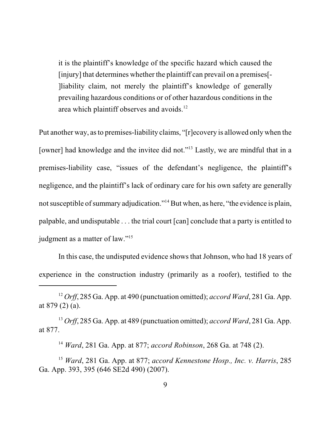it is the plaintiff's knowledge of the specific hazard which caused the [injury] that determines whether the plaintiff can prevail on a premises<sup>[-1]</sup> ]liability claim, not merely the plaintiff's knowledge of generally prevailing hazardous conditions or of other hazardous conditions in the area which plaintiff observes and avoids.<sup>12</sup>

Put another way, asto premises-liability claims, "[r]ecovery is allowed only when the [owner] had knowledge and the invitee did not."<sup>13</sup> Lastly, we are mindful that in a premises-liability case, "issues of the defendant's negligence, the plaintiff's negligence, and the plaintiff's lack of ordinary care for his own safety are generally not susceptible of summary adjudication."<sup>14</sup> But when, as here, "the evidence is plain, palpable, and undisputable . . . the trial court [can] conclude that a party is entitled to judgment as a matter of law."<sup>15</sup>

In this case, the undisputed evidence shows that Johnson, who had 18 years of experience in the construction industry (primarily as a roofer), testified to the

<sup>13</sup> *Orff*, 285 Ga. App. at 489 (punctuation omitted); *accord Ward*, 281 Ga. App. at 877.

<sup>12</sup> *Orff*, 285 Ga. App. at 490 (punctuation omitted); *accord Ward*, 281 Ga. App. at 879 (2) (a).

<sup>14</sup> *Ward*, 281 Ga. App. at 877; *accord Robinson*, 268 Ga. at 748 (2).

<sup>15</sup> *Ward*, 281 Ga. App. at 877; *accord Kennestone Hosp., Inc. v. Harris*, 285 Ga. App. 393, 395 (646 SE2d 490) (2007).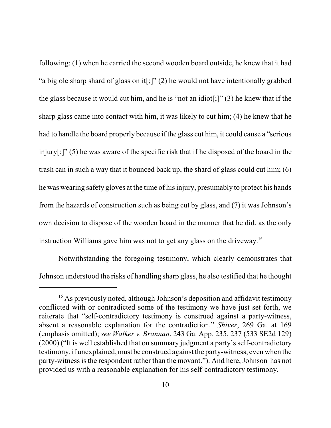following: (1) when he carried the second wooden board outside, he knew that it had "a big ole sharp shard of glass on it[;]" (2) he would not have intentionally grabbed the glass because it would cut him, and he is "not an idiot[;]" (3) he knew that if the sharp glass came into contact with him, it was likely to cut him; (4) he knew that he had to handle the board properly because if the glass cut him, it could cause a "serious injury[;]" (5) he was aware of the specific risk that if he disposed of the board in the trash can in such a way that it bounced back up, the shard of glass could cut him; (6) he was wearing safety gloves at the time of his injury, presumably to protect his hands from the hazards of construction such as being cut by glass, and (7) it was Johnson's own decision to dispose of the wooden board in the manner that he did, as the only instruction Williams gave him was not to get any glass on the driveway. 16

Notwithstanding the foregoing testimony, which clearly demonstrates that Johnson understood the risks of handling sharp glass, he also testified that he thought

<sup>&</sup>lt;sup>16</sup> As previously noted, although Johnson's deposition and affidavit testimony conflicted with or contradicted some of the testimony we have just set forth, we reiterate that "self-contradictory testimony is construed against a party-witness, absent a reasonable explanation for the contradiction." *Shiver*, 269 Ga. at 169 (emphasis omitted); *see Walker v. Brannan*, 243 Ga. App. 235, 237 (533 SE2d 129)  $(2000)$  ("It is well established that on summary judgment a party's self-contradictory testimony, if unexplained, must be construed against the party-witness, even when the party-witness is the respondent rather than the movant."). And here, Johnson has not provided us with a reasonable explanation for his self-contradictory testimony.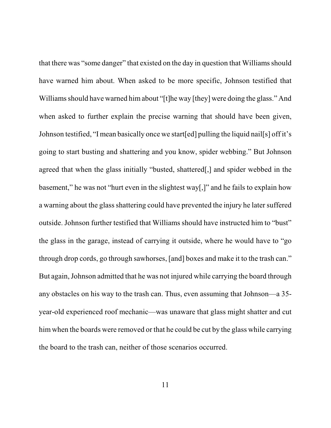that there was "some danger" that existed on the day in question that Williams should have warned him about. When asked to be more specific, Johnson testified that Williams should have warned him about "[t]he way [they] were doing the glass." And when asked to further explain the precise warning that should have been given, Johnson testified, "I mean basically once we start[ed] pulling the liquid nail[s] off it's going to start busting and shattering and you know, spider webbing." But Johnson agreed that when the glass initially "busted, shattered[,] and spider webbed in the basement," he was not "hurt even in the slightest way[,]" and he fails to explain how a warning about the glass shattering could have prevented the injury he later suffered outside. Johnson further testified that Williams should have instructed him to "bust" the glass in the garage, instead of carrying it outside, where he would have to "go through drop cords, go through sawhorses, [and] boxes and make it to the trash can." But again, Johnson admitted that he was not injured while carrying the board through any obstacles on his way to the trash can. Thus, even assuming that Johnson—a 35 year-old experienced roof mechanic—was unaware that glass might shatter and cut him when the boards were removed or that he could be cut by the glass while carrying the board to the trash can, neither of those scenarios occurred.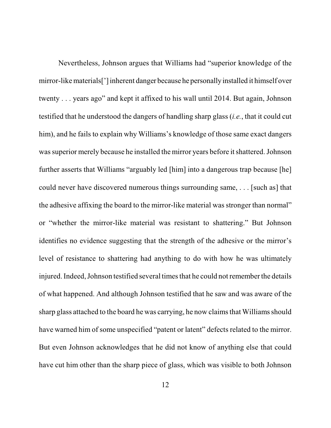Nevertheless, Johnson argues that Williams had "superior knowledge of the mirror-like materials[']inherent danger because he personallyinstalled it himself over twenty . . . years ago" and kept it affixed to his wall until 2014. But again, Johnson testified that he understood the dangers of handling sharp glass (*i.e.*, that it could cut him), and he fails to explain why Williams's knowledge of those same exact dangers was superior merely because he installed the mirror years before it shattered. Johnson further asserts that Williams "arguably led [him] into a dangerous trap because [he] could never have discovered numerous things surrounding same, . . . [such as] that the adhesive affixing the board to the mirror-like material was stronger than normal" or "whether the mirror-like material was resistant to shattering." But Johnson identifies no evidence suggesting that the strength of the adhesive or the mirror's level of resistance to shattering had anything to do with how he was ultimately injured. Indeed, Johnson testified several times that he could not remember the details of what happened. And although Johnson testified that he saw and was aware of the sharp glass attached to the board he was carrying, he now claims that Williams should have warned him of some unspecified "patent or latent" defects related to the mirror. But even Johnson acknowledges that he did not know of anything else that could have cut him other than the sharp piece of glass, which was visible to both Johnson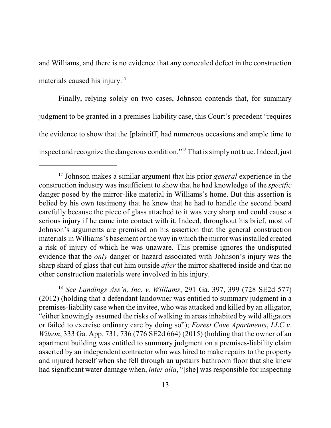and Williams, and there is no evidence that any concealed defect in the construction materials caused his injury.<sup>17</sup>

Finally, relying solely on two cases, Johnson contends that, for summary judgment to be granted in a premises-liability case, this Court's precedent "requires the evidence to show that the [plaintiff] had numerous occasions and ample time to inspect and recognize the dangerous condition."<sup>18</sup> That is simply not true. Indeed, just

18 *See Landings Ass'n, Inc. v. Williams*, 291 Ga. 397, 399 (728 SE2d 577) (2012) (holding that a defendant landowner was entitled to summary judgment in a premises-liability case when the invitee, who was attacked and killed by an alligator, "either knowingly assumed the risks of walking in areas inhabited by wild alligators or failed to exercise ordinary care by doing so"); *Forest Cove Apartments*, *LLC v. Wilson*, 333 Ga. App. 731, 736 (776 SE2d 664) (2015) (holding that the owner of an apartment building was entitled to summary judgment on a premises-liability claim asserted by an independent contractor who was hired to make repairs to the property and injured herself when she fell through an upstairs bathroom floor that she knew had significant water damage when, *inter alia*, "[she] was responsible for inspecting

<sup>17</sup> Johnson makes a similar argument that his prior *general* experience in the construction industry was insufficient to show that he had knowledge of the *specific* danger posed by the mirror-like material in Williams's home. But this assertion is belied by his own testimony that he knew that he had to handle the second board carefully because the piece of glass attached to it was very sharp and could cause a serious injury if he came into contact with it. Indeed, throughout his brief, most of Johnson's arguments are premised on his assertion that the general construction materials in Williams's basement or the way in which the mirror was installed created a risk of injury of which he was unaware. This premise ignores the undisputed evidence that the *only* danger or hazard associated with Johnson's injury was the sharp shard of glass that cut him outside *after* the mirror shattered inside and that no other construction materials were involved in his injury.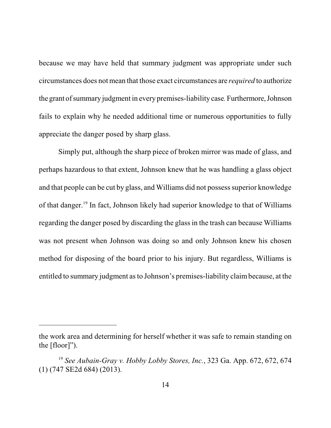because we may have held that summary judgment was appropriate under such circumstances does not mean that those exact circumstances are *required* to authorize the grant of summary judgment in every premises-liability case*.*Furthermore,Johnson fails to explain why he needed additional time or numerous opportunities to fully appreciate the danger posed by sharp glass.

Simply put, although the sharp piece of broken mirror was made of glass, and perhaps hazardous to that extent, Johnson knew that he was handling a glass object and that people can be cut by glass, and Williams did not possess superior knowledge of that danger.<sup>19</sup> In fact, Johnson likely had superior knowledge to that of Williams regarding the danger posed by discarding the glass in the trash can because Williams was not present when Johnson was doing so and only Johnson knew his chosen method for disposing of the board prior to his injury. But regardless, Williams is entitled to summary judgment asto Johnson's premises-liability claimbecause, at the

the work area and determining for herself whether it was safe to remain standing on the [floor]").

<sup>19</sup> *See Aubain-Gray v. Hobby Lobby Stores, Inc.*, 323 Ga. App. 672, 672, 674 (1) (747 SE2d 684) (2013).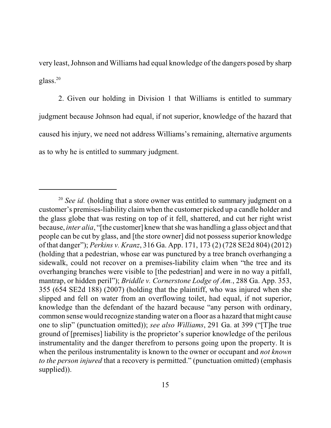very least, Johnson and Williams had equal knowledge of the dangers posed by sharp glass. 20

2. Given our holding in Division 1 that Williams is entitled to summary judgment because Johnson had equal, if not superior, knowledge of the hazard that caused his injury, we need not address Williams's remaining, alternative arguments as to why he is entitled to summary judgment.

<sup>20</sup> *See id.* (holding that a store owner was entitled to summary judgment on a customer's premises-liability claim when the customer picked up a candle holder and the glass globe that was resting on top of it fell, shattered, and cut her right wrist because, *inter alia*, "[the customer] knew thatshe was handling a glass object and that people can be cut by glass, and [the store owner] did not possesssuperior knowledge of that danger"); *Perkins v. Kranz*, 316 Ga. App. 171, 173 (2) (728 SE2d 804) (2012) (holding that a pedestrian, whose ear was punctured by a tree branch overhanging a sidewalk, could not recover on a premises-liability claim when "the tree and its overhanging branches were visible to [the pedestrian] and were in no way a pitfall, mantrap, or hidden peril"); *Briddle v. Cornerstone Lodge of Am.*, 288 Ga. App. 353, 355 (654 SE2d 188) (2007) (holding that the plaintiff, who was injured when she slipped and fell on water from an overflowing toilet, had equal, if not superior, knowledge than the defendant of the hazard because "any person with ordinary, common sense would recognize standing water on a floor as a hazard that might cause one to slip" (punctuation omitted)); *see also Williams*, 291 Ga. at 399 ("[T]he true ground of [premises] liability is the proprietor's superior knowledge of the perilous instrumentality and the danger therefrom to persons going upon the property. It is when the perilous instrumentality is known to the owner or occupant and *not known to the person injured* that a recovery is permitted." (punctuation omitted) (emphasis supplied)).